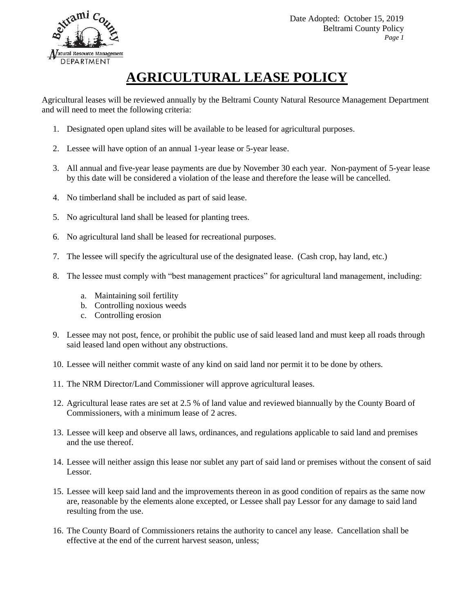

 Date Adopted: October 15, 2019 Beltrami County Policy *Page 1*

## **AGRICULTURAL LEASE POLICY**

Agricultural leases will be reviewed annually by the Beltrami County Natural Resource Management Department and will need to meet the following criteria:

- 1. Designated open upland sites will be available to be leased for agricultural purposes.
- 2. Lessee will have option of an annual 1-year lease or 5-year lease.
- 3. All annual and five-year lease payments are due by November 30 each year. Non-payment of 5-year lease by this date will be considered a violation of the lease and therefore the lease will be cancelled.
- 4. No timberland shall be included as part of said lease.
- 5. No agricultural land shall be leased for planting trees.
- 6. No agricultural land shall be leased for recreational purposes.
- 7. The lessee will specify the agricultural use of the designated lease. (Cash crop, hay land, etc.)
- 8. The lessee must comply with "best management practices" for agricultural land management, including:
	- a. Maintaining soil fertility
	- b. Controlling noxious weeds
	- c. Controlling erosion
- 9. Lessee may not post, fence, or prohibit the public use of said leased land and must keep all roads through said leased land open without any obstructions.
- 10. Lessee will neither commit waste of any kind on said land nor permit it to be done by others.
- 11. The NRM Director/Land Commissioner will approve agricultural leases.
- 12. Agricultural lease rates are set at 2.5 % of land value and reviewed biannually by the County Board of Commissioners, with a minimum lease of 2 acres.
- 13. Lessee will keep and observe all laws, ordinances, and regulations applicable to said land and premises and the use thereof.
- 14. Lessee will neither assign this lease nor sublet any part of said land or premises without the consent of said Lessor.
- 15. Lessee will keep said land and the improvements thereon in as good condition of repairs as the same now are, reasonable by the elements alone excepted, or Lessee shall pay Lessor for any damage to said land resulting from the use.
- 16. The County Board of Commissioners retains the authority to cancel any lease. Cancellation shall be effective at the end of the current harvest season, unless;